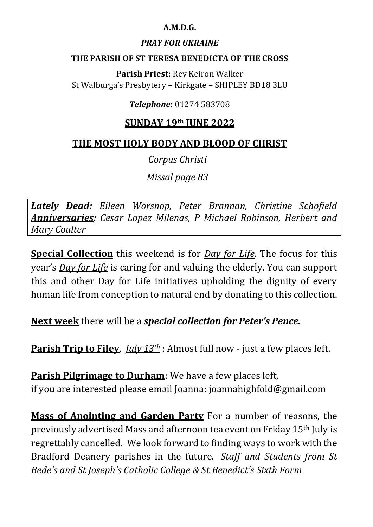#### **A.M.D.G.**

#### *PRAY FOR UKRAINE*

#### **THE PARISH OF ST TERESA BENEDICTA OF THE CROSS**

**Parish Priest:** Rev Keiron Walker St Walburga's Presbytery – Kirkgate – SHIPLEY BD18 3LU

### *Telephone***:** 01274 583708

### **SUNDAY 19th JUNE 2022**

### **THE MOST HOLY BODY AND BLOOD OF CHRIST**

*Corpus Christi*

*Missal page 83*

*Lately Dead: Eileen Worsnop, Peter Brannan, Christine Schofield Anniversaries: Cesar Lopez Milenas, P Michael Robinson, Herbert and Mary Coulter*

**Special Collection** this weekend is for *Day for Life*. The focus for this year's *Day for Life* is caring for and valuing the elderly. You can support this and other Day for Life initiatives upholding the dignity of every human life from conception to natural end by donating to this collection.

**Next week** there will be a *special collection for Peter's Pence.*

**Parish Trip to Filey**, *July 13th* : Almost full now - just a few places left.

**Parish Pilgrimage to Durham**: We have a few places left, if you are interested please email Joanna: joannahighfold@gmail.com

**Mass of Anointing and Garden Party** For a number of reasons, the previously advertised Mass and afternoon tea event on Friday 15th July is regrettably cancelled. We look forward to finding ways to work with the Bradford Deanery parishes in the future*. Staff and Students from St Bede's and St Joseph's Catholic College & St Benedict's Sixth Form*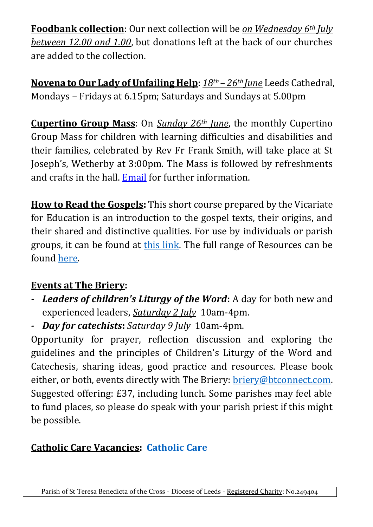**Foodbank collection**: Our next collection will be *on Wednesday 6th July between 12.00 and 1.00*, but donations left at the back of our churches are added to the collection.

**Novena to Our Lady of Unfailing Help**: *18th – 26th June* Leeds Cathedral, Mondays – Fridays at 6.15pm; Saturdays and Sundays at 5.00pm

**Cupertino Group Mass**: On *Sunday 26th June*, the monthly Cupertino Group Mass for children with learning difficulties and disabilities and their families, celebrated by Rev Fr Frank Smith, will take place at St Joseph's, Wetherby at 3:00pm. The Mass is followed by refreshments and crafts in the hall. [Email](mailto:cupertino.mass@gmail.com) for further information.

**How to Read the Gospels:** This short course prepared by the Vicariate for Education is an introduction to the gospel texts, their origins, and their shared and distinctive qualities. For use by individuals or parish groups, it can be found at [this link.](https://www.dioceseofleeds.org.uk/education/our-faith/learning-about-our-faith/resources-2/how-to-read-the-gospels/) The full range of Resources can be found [here.](https://www.dioceseofleeds.org.uk/education/our-faith/learning-about-our-faith/resources-2/)

## **Events at The Briery:**

- *- Leaders of children's Liturgy of the Word***:** A day for both new and experienced leaders, *Saturday 2 July* 10am-4pm.
- *- Day for catechists***:** *Saturday 9 July* 10am-4pm.

Opportunity for prayer, reflection discussion and exploring the guidelines and the principles of Children's Liturgy of the Word and Catechesis, sharing ideas, good practice and resources. Please book either, or both, events directly with The Briery: [briery@btconnect.com.](mailto:briery@btconnect.com?subject=Day%20for%20Catechists%3A%20Saturday%209%20July%202022&body=Dear%20Sr%20Anne%0A%0AI%20would%20like%20to%20attend%20this%20day%2C%20led%20by%20Linda%20Pennington%20and%20Breda%20Theakston%20and%20would%20appreciate%20a%20response%20with%20instructions%20on%20how%20to%20book.%0A%0AYours%2C%0A) Suggested offering: £37, including lunch. Some parishes may feel able to fund places, so please do speak with your parish priest if this might be possible.

# **Catholic Care Vacancies: [Catholic Care](https://www.catholic-care.org.uk/recruitment/latest-vacancies/)**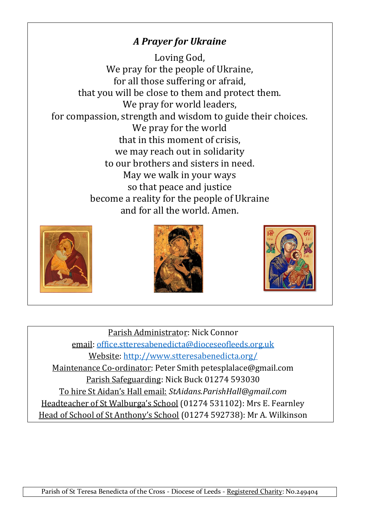# *A Prayer for Ukraine*

Loving God, We pray for the people of Ukraine, for all those suffering or afraid, that you will be close to them and protect them. We pray for world leaders, for compassion, strength and wisdom to guide their choices. We pray for the world that in this moment of crisis, we may reach out in solidarity to our brothers and sisters in need. May we walk in your ways so that peace and justice become a reality for the people of Ukraine and for all the world. Amen.







Parish Administrator: Nick Connor email: [office.stteresabenedicta@dioceseofleeds.org.uk](mailto:office.stteresabenedicta@dioceseofleeds.org.uk) Website: [http://www.stteresabenedicta.org/](https://l.facebook.com/l.php?u=http%3A%2F%2Fwww.stteresabenedicta.org%2F%3Ffbclid%3DIwAR3mrFRWjiZtQbSg_C_s8hbJJ-btsgTWzwEsMIBzZNhLPVSp95ld20JgiLE&h=AT37lkP6ds2Ho_escAF2mGR6jmEPK-E8gGIMp9Tyf3uN4FFXrMZYfaCXutVp3rQ7tH4WBE0fqPMXDfMzO4XH5-k_JXOs4Jc6uY2v6Hka4_kw0HSUtzz5fGcQDOoQbGf1apE) Maintenance Co-ordinator: Peter Smith petesplalace@gmail.com Parish Safeguarding: Nick Buck 01274 593030 To hire St Aidan's Hall email: *StAidans.ParishHall@gmail.com* Headteacher of St Walburga's School (01274 531102): Mrs E. Fearnley Head of School of St Anthony's School (01274 592738): Mr A. Wilkinson